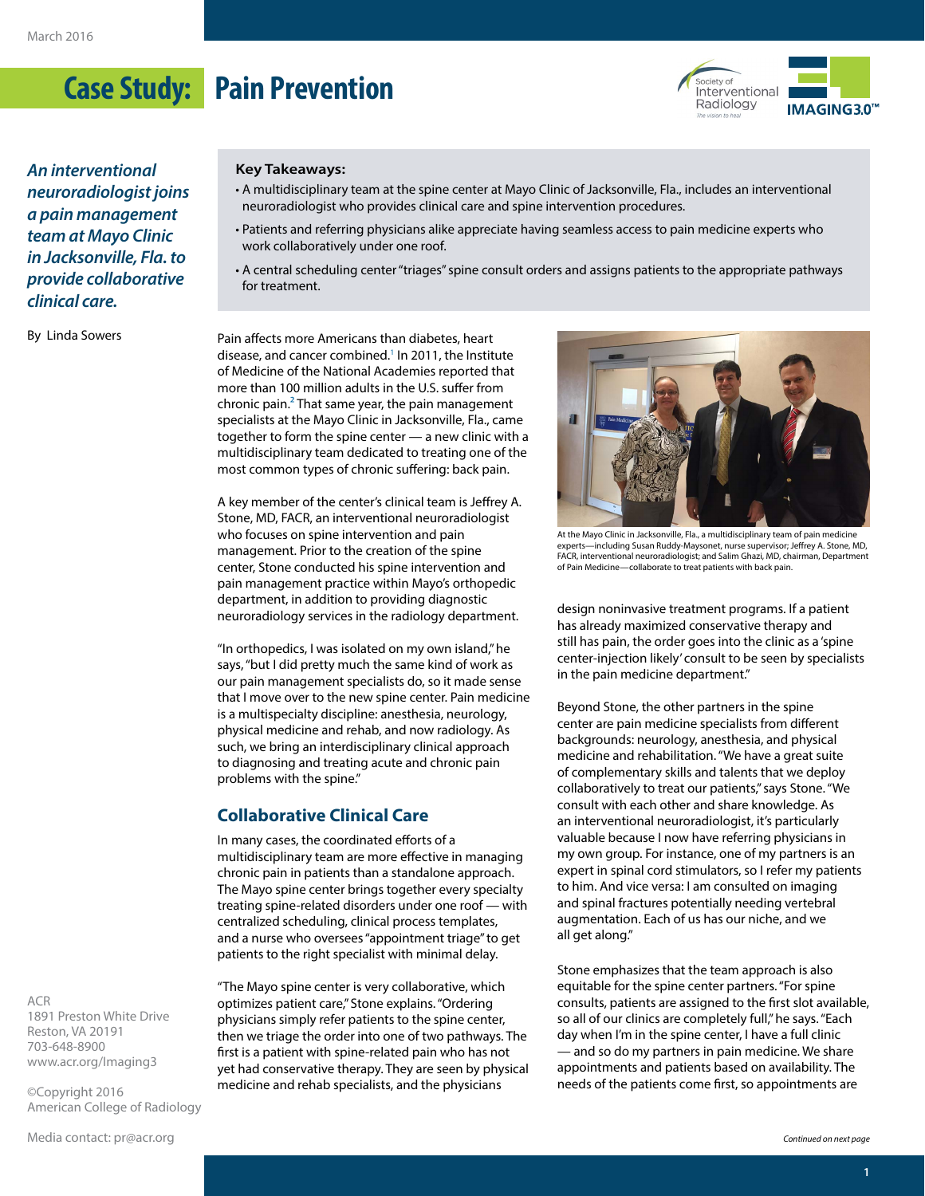# **Case Study: Pain Prevention**



*An interventional neuroradiologist joins a pain management team at Mayo Clinic in Jacksonville, Fla. to provide collaborative clinical care.*

By Linda Sowers

#### **Key Takeaways:**

- A multidisciplinary team at the spine center at Mayo Clinic of Jacksonville, Fla., includes an interventional neuroradiologist who provides clinical care and spine intervention procedures.
- Patients and referring physicians alike appreciate having seamless access to pain medicine experts who work collaboratively under one roof.
- A central scheduling center "triages" spine consult orders and assigns patients to the appropriate pathways for treatment.

Pain affects more Americans than diabetes, heart disease, and cancer combined.<sup>1</sup> In 2011, the Institute of Medicine of the National Academies reported that more than 100 million adults in the U.S. suffer from chronic pain.<sup>2</sup> That same year, the pain management specialists at the Mayo Clinic in Jacksonville, Fla., came together to form the spine center — a new clinic with a multidisciplinary team dedicated to treating one of the most common types of chronic suffering: back pain.

A key member of the center's clinical team is Jeffrey A. Stone, MD, FACR, an interventional neuroradiologist who focuses on spine intervention and pain management. Prior to the creation of the spine center, Stone conducted his spine intervention and pain management practice within Mayo's orthopedic department, in addition to providing diagnostic neuroradiology services in the radiology department.

"In orthopedics, I was isolated on my own island," he says, "but I did pretty much the same kind of work as our pain management specialists do, so it made sense that I move over to the new spine center. Pain medicine is a multispecialty discipline: anesthesia, neurology, physical medicine and rehab, and now radiology. As such, we bring an interdisciplinary clinical approach to diagnosing and treating acute and chronic pain problems with the spine."

#### **Collaborative Clinical Care**

In many cases, the coordinated efforts of a multidisciplinary team are more effective in managing chronic pain in patients than a standalone approach. The Mayo spine center brings together every specialty treating spine-related disorders under one roof — with centralized scheduling, clinical process templates, and a nurse who oversees "appointment triage" to get patients to the right specialist with minimal delay.

"The Mayo spine center is very collaborative, which optimizes patient care," Stone explains. "Ordering physicians simply refer patients to the spine center, then we triage the order into one of two pathways. The first is a patient with spine-related pain who has not yet had conservative therapy. They are seen by physical medicine and rehab specialists, and the physicians



At the Mayo Clinic in Jacksonville, Fla., a multidisciplinary team of pain medicine experts—including Susan Ruddy-Maysonet, nurse supervisor; Jeffrey A. Stone, MD, FACR, interventional neuroradiologist; and Salim Ghazi, MD, chairman, Department of Pain Medicine—collaborate to treat patients with back pain.

design noninvasive treatment programs. If a patient has already maximized conservative therapy and still has pain, the order goes into the clinic as a 'spine center-injection likely' consult to be seen by specialists in the pain medicine department."

Beyond Stone, the other partners in the spine center are pain medicine specialists from different backgrounds: neurology, anesthesia, and physical medicine and rehabilitation. "We have a great suite of complementary skills and talents that we deploy collaboratively to treat our patients," says Stone. "We consult with each other and share knowledge. As an interventional neuroradiologist, it's particularly valuable because I now have referring physicians in my own group. For instance, one of my partners is an expert in spinal cord stimulators, so I refer my patients to him. And vice versa: I am consulted on imaging and spinal fractures potentially needing vertebral augmentation. Each of us has our niche, and we all get along."

Stone emphasizes that the team approach is also equitable for the spine center partners. "For spine consults, patients are assigned to the first slot available, so all of our clinics are completely full," he says. "Each day when I'm in the spine center, I have a full clinic — and so do my partners in pain medicine. We share appointments and patients based on availability. The needs of the patients come first, so appointments are

ACR 1891 Preston White Drive Reston, VA 20191 703-648-8900 [www.acr.org/Imaging3](http://www.acr.org/Imaging3)

©Copyright 2016 American College of Radiology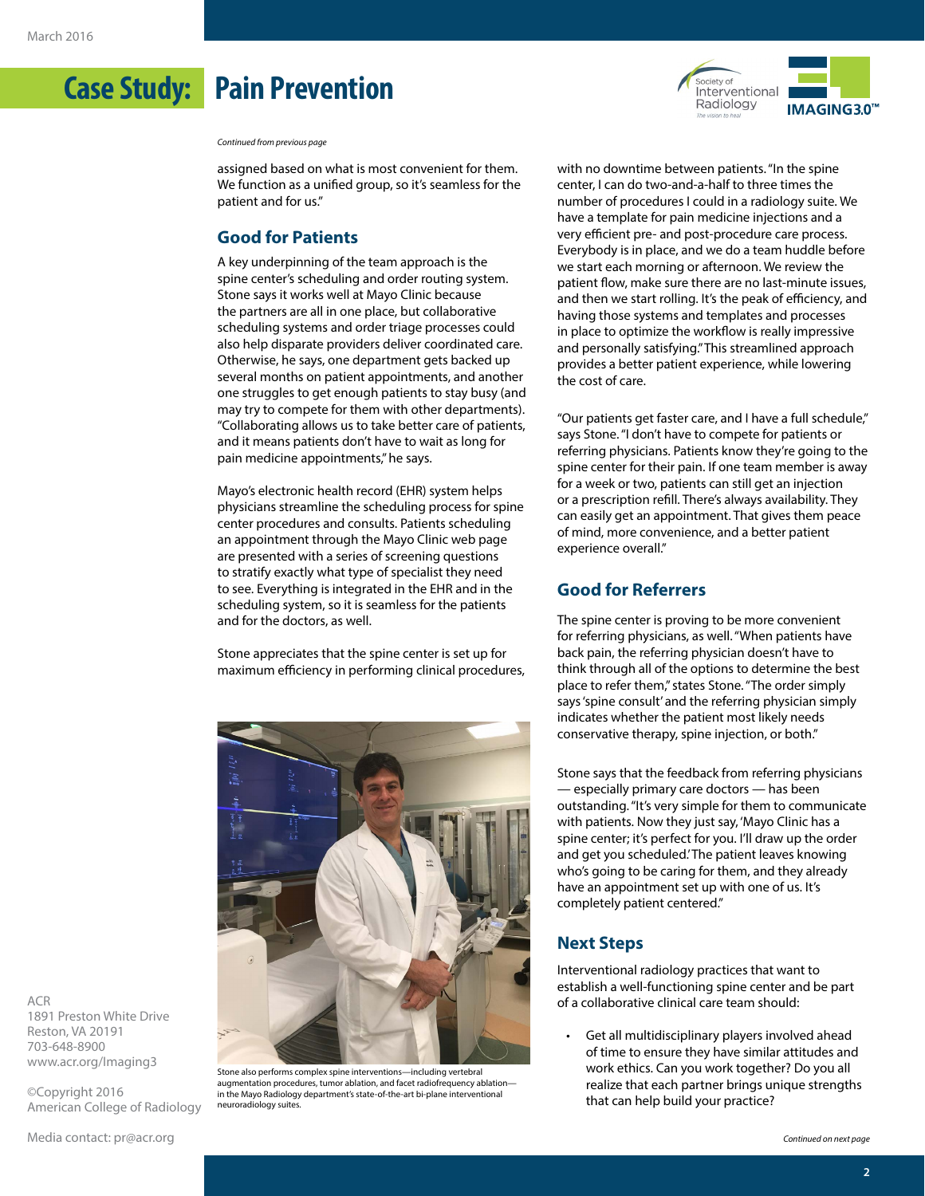**Case Study: Pain Prevention**

*Continued from previous page*

assigned based on what is most convenient for them. We function as a unified group, so it's seamless for the patient and for us."

### **Good for Patients**

A key underpinning of the team approach is the spine center's scheduling and order routing system. Stone says it works well at Mayo Clinic because the partners are all in one place, but collaborative scheduling systems and order triage processes could also help disparate providers deliver coordinated care. Otherwise, he says, one department gets backed up several months on patient appointments, and another one struggles to get enough patients to stay busy (and may try to compete for them with other departments). "Collaborating allows us to take better care of patients, and it means patients don't have to wait as long for pain medicine appointments," he says.

Mayo's electronic health record (EHR) system helps physicians streamline the scheduling process for spine center procedures and consults. Patients scheduling an appointment through the Mayo Clinic web page are presented with a series of screening questions to stratify exactly what type of specialist they need to see. Everything is integrated in the EHR and in the scheduling system, so it is seamless for the patients and for the doctors, as well.

Stone appreciates that the spine center is set up for maximum efficiency in performing clinical procedures,



Stone also performs complex spine interventions—including vertebral augmentation procedures, tumor ablation, and facet radiofrequency ablation in the Mayo Radiology department's state-of-the-art bi-plane interventional neuroradiology suites.



with no downtime between patients. "In the spine center, I can do two-and-a-half to three times the number of procedures I could in a radiology suite. We have a template for pain medicine injections and a very efficient pre- and post-procedure care process. Everybody is in place, and we do a team huddle before we start each morning or afternoon. We review the patient flow, make sure there are no last-minute issues, and then we start rolling. It's the peak of efficiency, and having those systems and templates and processes in place to optimize the workflow is really impressive and personally satisfying." This streamlined approach provides a better patient experience, while lowering the cost of care.

"Our patients get faster care, and I have a full schedule," says Stone. "I don't have to compete for patients or referring physicians. Patients know they're going to the spine center for their pain. If one team member is away for a week or two, patients can still get an injection or a prescription refill. There's always availability. They can easily get an appointment. That gives them peace of mind, more convenience, and a better patient experience overall."

# **Good for Referrers**

The spine center is proving to be more convenient for referring physicians, as well. "When patients have back pain, the referring physician doesn't have to think through all of the options to determine the best place to refer them," states Stone. "The order simply says 'spine consult' and the referring physician simply indicates whether the patient most likely needs conservative therapy, spine injection, or both."

Stone says that the feedback from referring physicians — especially primary care doctors — has been outstanding. "It's very simple for them to communicate with patients. Now they just say, 'Mayo Clinic has a spine center; it's perfect for you. I'll draw up the order and get you scheduled.' The patient leaves knowing who's going to be caring for them, and they already have an appointment set up with one of us. It's completely patient centered."

#### **Next Steps**

Interventional radiology practices that want to establish a well-functioning spine center and be part of a collaborative clinical care team should:

Get all multidisciplinary players involved ahead of time to ensure they have similar attitudes and work ethics. Can you work together? Do you all realize that each partner brings unique strengths that can help build your practice?

ACR 1891 Preston White Drive Reston, VA 20191 703-648-8900 [www.acr.org/Imaging3](http://www.acr.org/Imaging3)

©Copyright 2016 American College of Radiology